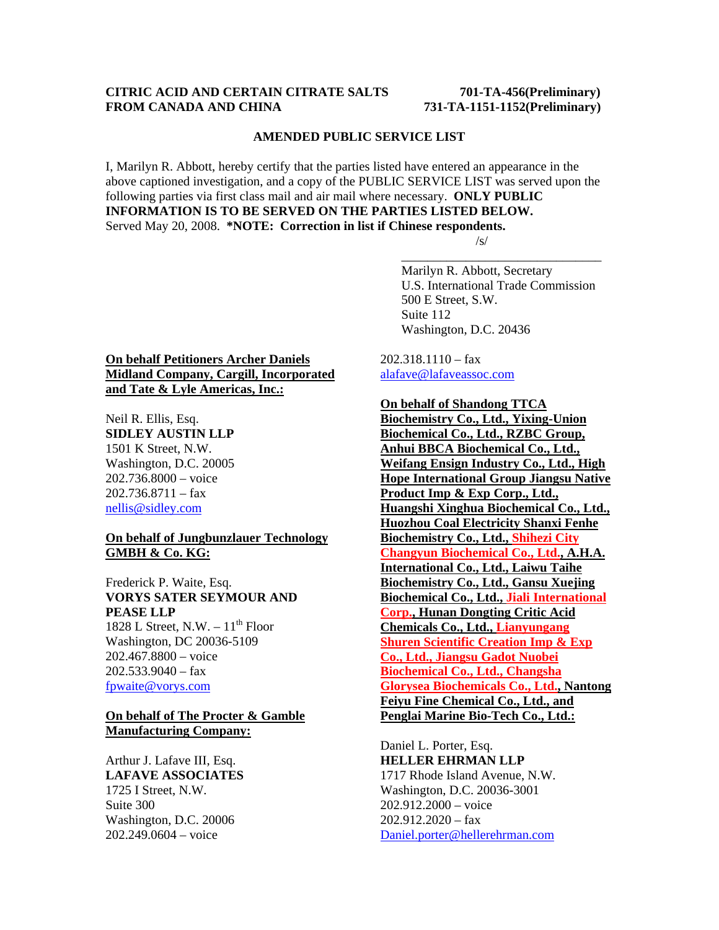## **CITRIC ACID AND CERTAIN CITRATE SALTS 701-TA-456(Preliminary) FROM CANADA AND CHINA 731-TA-1151-1152(Preliminary)**

#### **AMENDED PUBLIC SERVICE LIST**

I, Marilyn R. Abbott, hereby certify that the parties listed have entered an appearance in the above captioned investigation, and a copy of the PUBLIC SERVICE LIST was served upon the following parties via first class mail and air mail where necessary. **ONLY PUBLIC INFORMATION IS TO BE SERVED ON THE PARTIES LISTED BELOW.**  Served May 20, 2008. **\*NOTE: Correction in list if Chinese respondents.**   $\sqrt{s}$ /s/

 $\overline{\phantom{a}}$  , which is a set of the set of the set of the set of the set of the set of the set of the set of the set of the set of the set of the set of the set of the set of the set of the set of the set of the set of th

 Marilyn R. Abbott, Secretary U.S. International Trade Commission 500 E Street, S.W. Suite 112 Washington, D.C. 20436

**On behalf Petitioners Archer Daniels Midland Company, Cargill, Incorporated and Tate & Lyle Americas, Inc.:**

Neil R. Ellis, Esq. **SIDLEY AUSTIN LLP** 1501 K Street, N.W. Washington, D.C. 20005 202.736.8000 – voice 202.736.8711 – fax nellis@sidley.com

### **On behalf of Jungbunzlauer Technology GMBH & Co. KG:**

Frederick P. Waite, Esq. **VORYS SATER SEYMOUR AND PEASE LLP** 1828 L Street, N.W.  $-11^{th}$  Floor

Washington, DC 20036-5109 202.467.8800 – voice  $202.533.9040 - fax$ fpwaite@vorys.com

## **On behalf of The Procter & Gamble Manufacturing Company:**

Arthur J. Lafave III, Esq. **LAFAVE ASSOCIATES**  1725 I Street, N.W. Suite 300 Washington, D.C. 20006 202.249.0604 – voice

 $202.318.1110 - \text{fax}$ alafave@lafaveassoc.com

**On behalf of Shandong TTCA** 

**Biochemistry Co., Ltd., Yixing-Union Biochemical Co., Ltd., RZBC Group, Anhui BBCA Biochemical Co., Ltd., Weifang Ensign Industry Co., Ltd., High Hope International Group Jiangsu Native Product Imp & Exp Corp., Ltd., Huangshi Xinghua Biochemical Co., Ltd., Huozhou Coal Electricity Shanxi Fenhe Biochemistry Co., Ltd., Shihezi City Changyun Biochemical Co., Ltd., A.H.A. International Co., Ltd., Laiwu Taihe Biochemistry Co., Ltd., Gansu Xuejing Biochemical Co., Ltd., Jiali International Corp., Hunan Dongting Critic Acid Chemicals Co., Ltd., Lianyungang Shuren Scientific Creation Imp & Exp Co., Ltd., Jiangsu Gadot Nuobei Biochemical Co., Ltd., Changsha Glorysea Biochemicals Co., Ltd., Nantong Feiyu Fine Chemical Co., Ltd., and Penglai Marine Bio-Tech Co., Ltd.:**

Daniel L. Porter, Esq. **HELLER EHRMAN LLP** 1717 Rhode Island Avenue, N.W. Washington, D.C. 20036-3001 202.912.2000 – voice  $202.912.2020 - fax$ Daniel.porter@hellerehrman.com